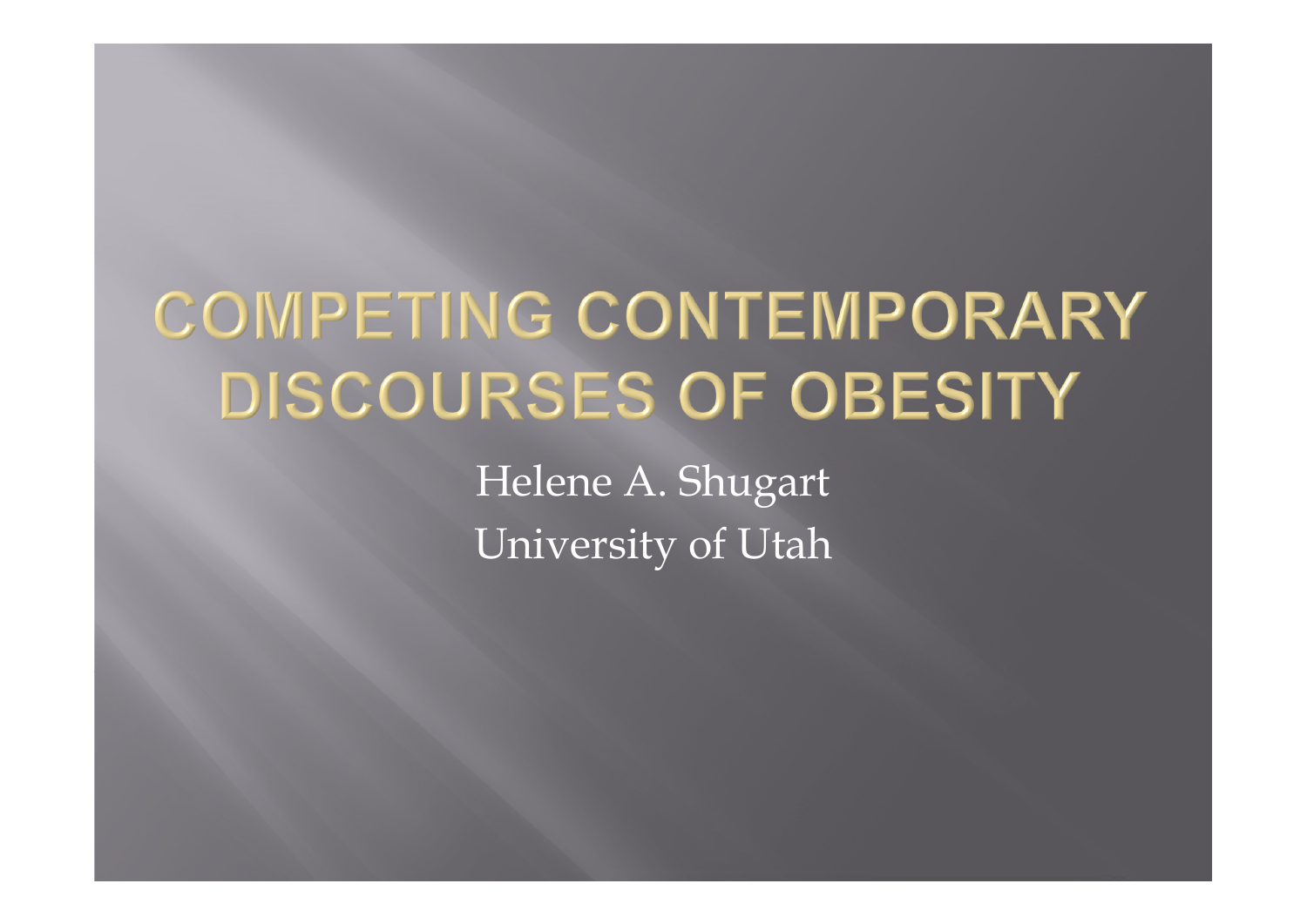# **COMPETING CONTEMPORARY DISCOURSES OF OBESITY**

Helene A. Shugart University of Utah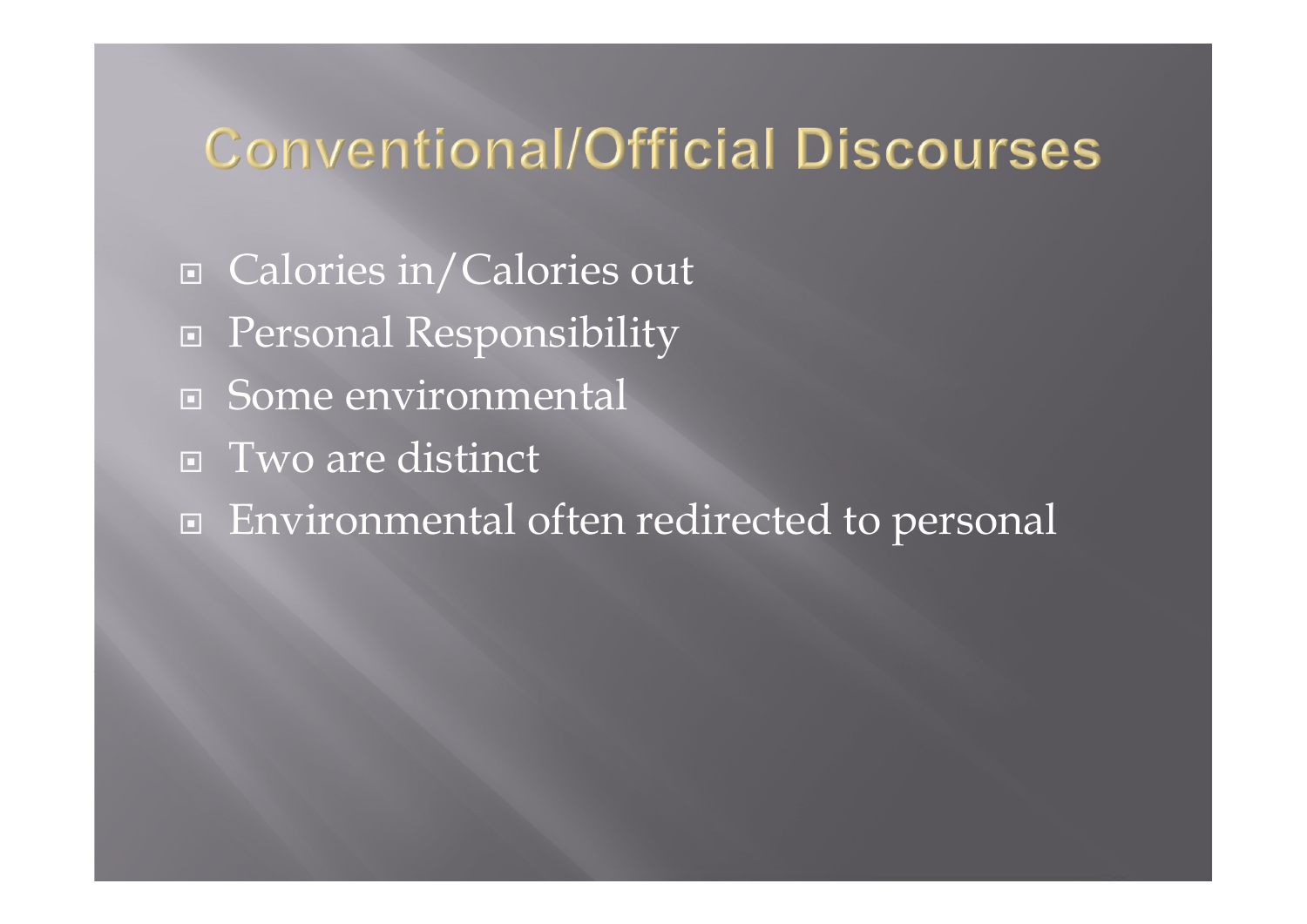# **Conventional/Official Discourses**

- □ Calories in/Calories out
- □ Personal Responsibility
- □ Some environmental
- Two are distinct
- Environmental often redirected to personal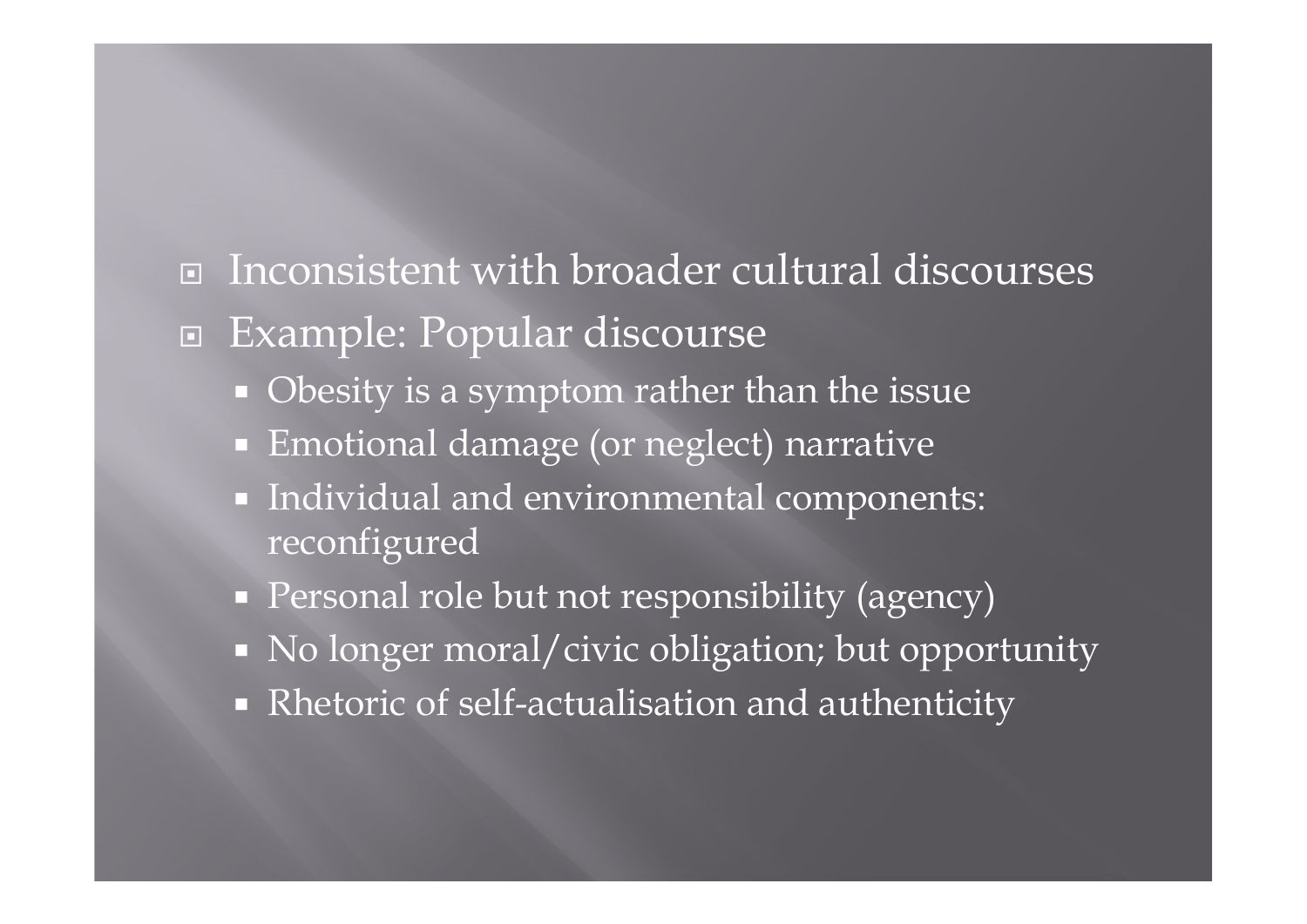- Inconsistent with broader cultural discourses
- Example: Popular discourse
	- Obesity is a symptom rather than the issue
	- **Emotional damage (or neglect) narrative**
	- Individual and environmental components: reconfigured
	- **Personal role but not responsibility (agency)**
	- No longer moral/civic obligation; but opportunity
	- Rhetoric of self-actualisation and authenticity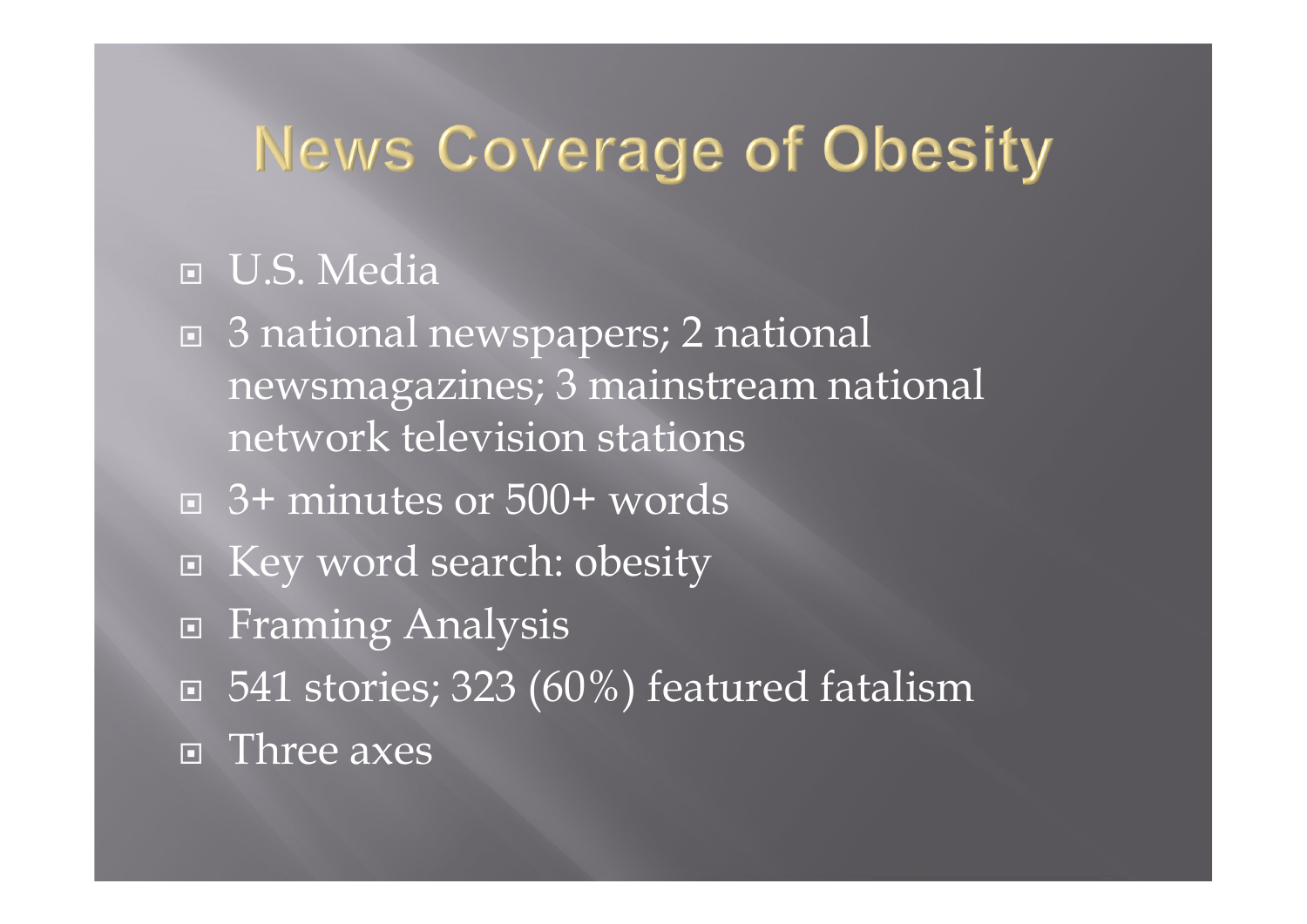# **News Coverage of Obesity**

#### D.S. Media

- 3 national newspapers; 2 national newsmagazines; 3 mainstream national network television stations
- 3+ minutes or 500+ words
- Key word search: obesity
- □ Framing Analysis
- $\Box$  541 stories; 323 (60%) featured fatalism
- Three axes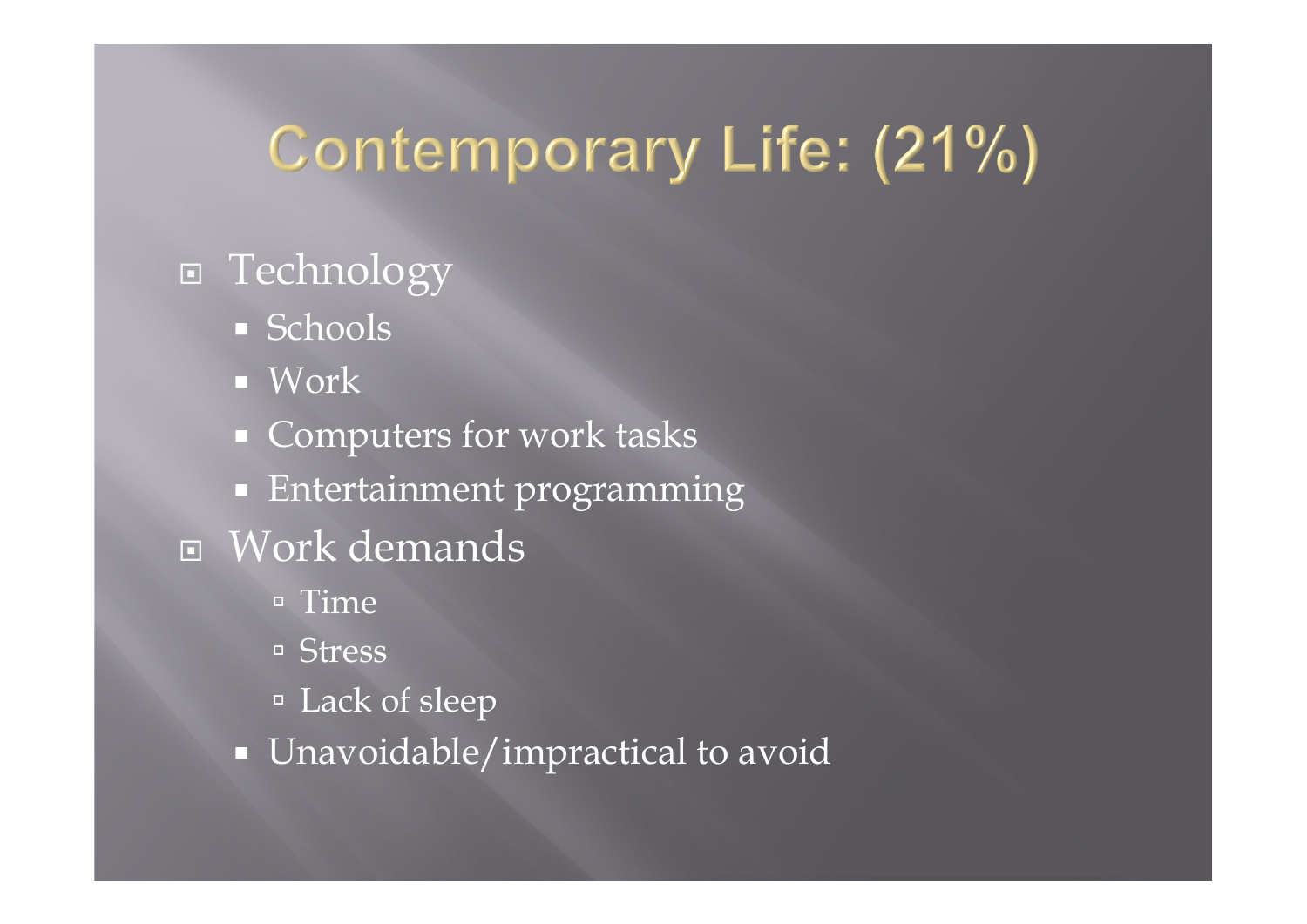# Contemporary Life: (21%)

# **E** Technology

- **Schools**
- **Nork**
- **Computers for work tasks**
- **Entertainment programming**
- Work demands
	- $=$  Time
	- Stress
	- Lack of sleep
	- **Unavoidable/impractical to avoid**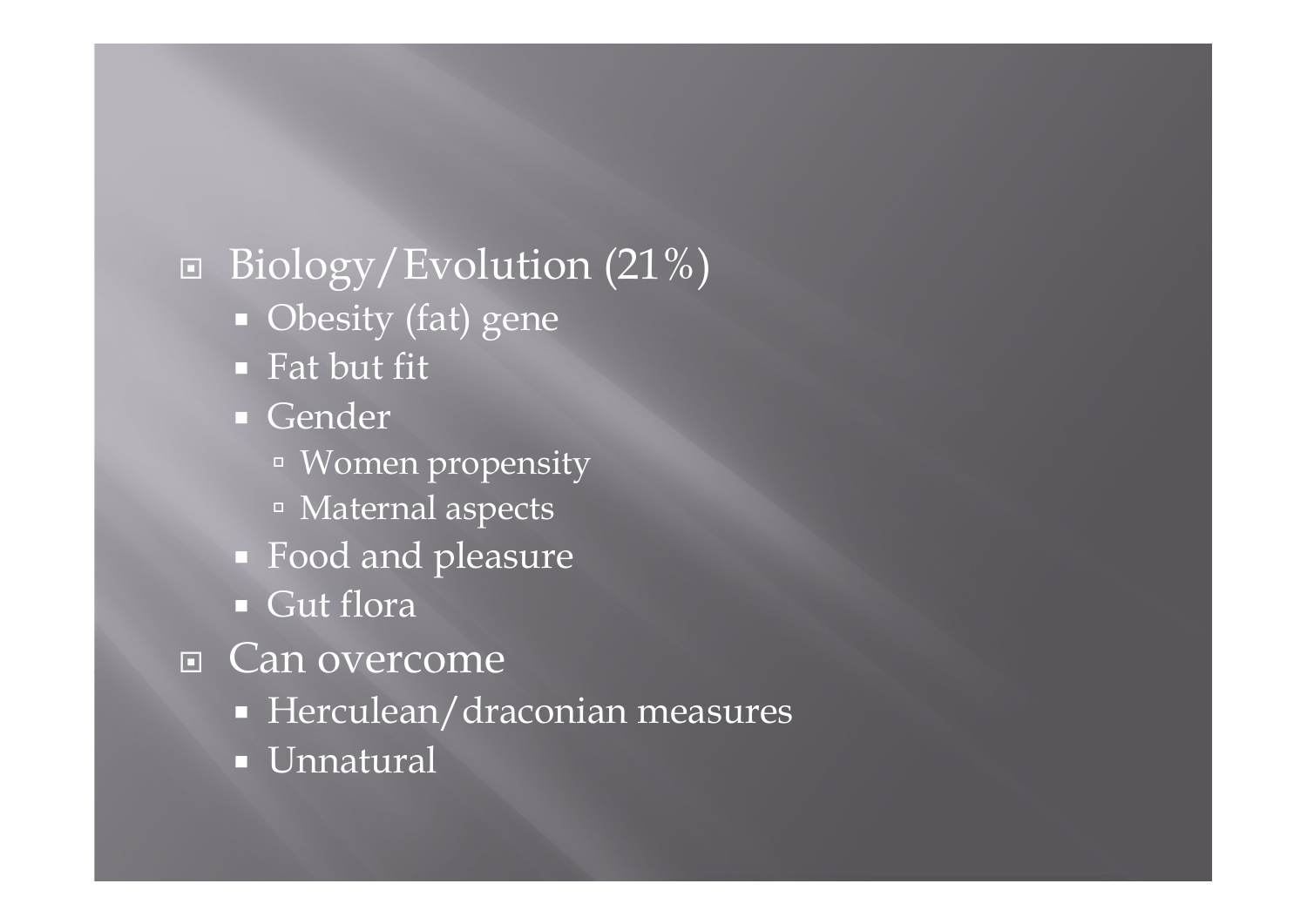$\Box$  Biology/Evolution (21%) **Obesity** (fat) gene ■ Fat but fit Gender Women propensity Maternal aspects ■ Food and pleasure Gut flora □ Can overcome **Herculean/draconian measures Unnatural**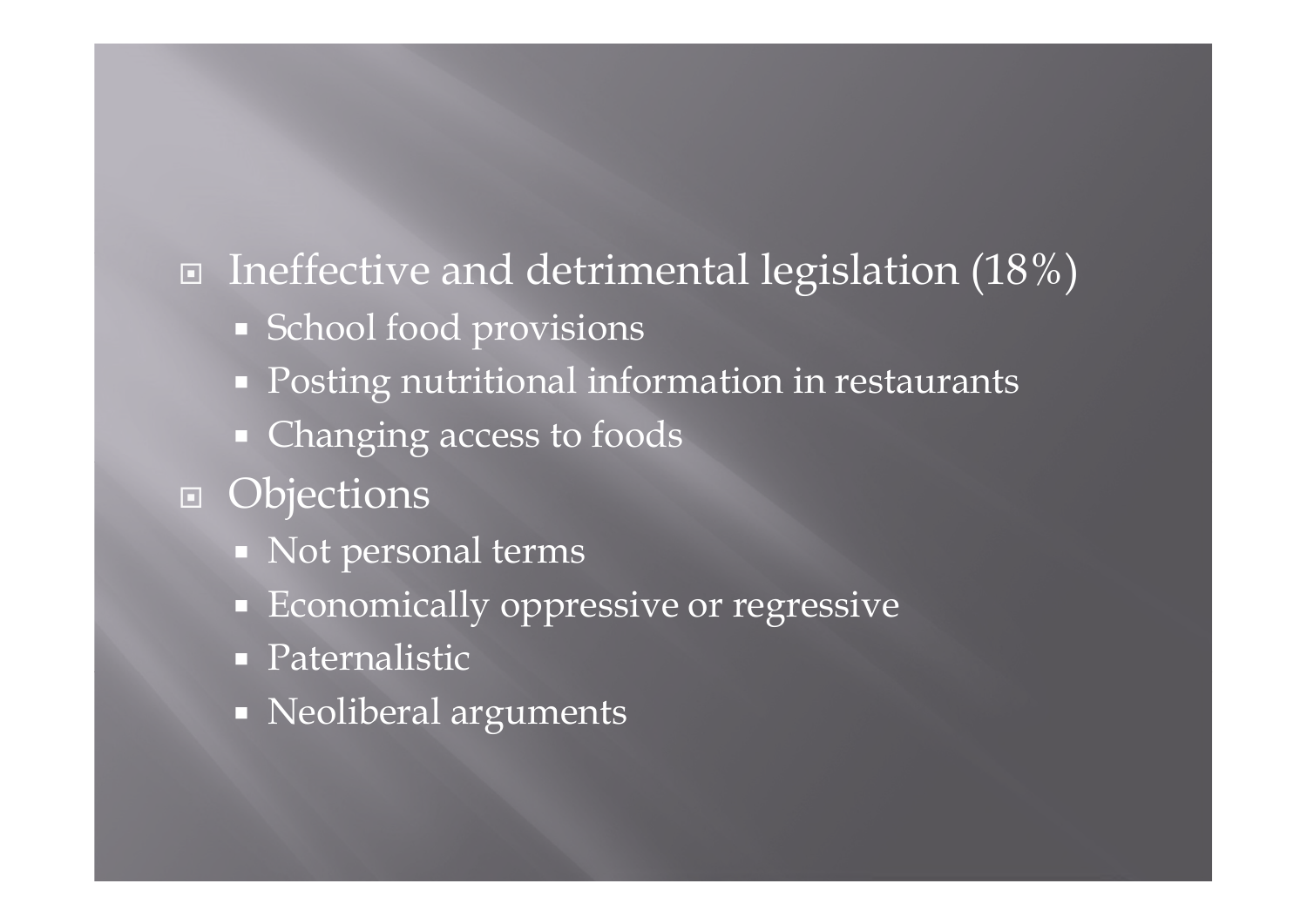## $\Box$  Ineffective and detrimental legislation (18%)

- **School food provisions**
- **Posting nutritional information in restaurants**
- Changing access to foods
- **D** Objections
	- Not personal terms
	- **Economically oppressive or regressive**
	- **Paternalistic**
	- Neoliberal arguments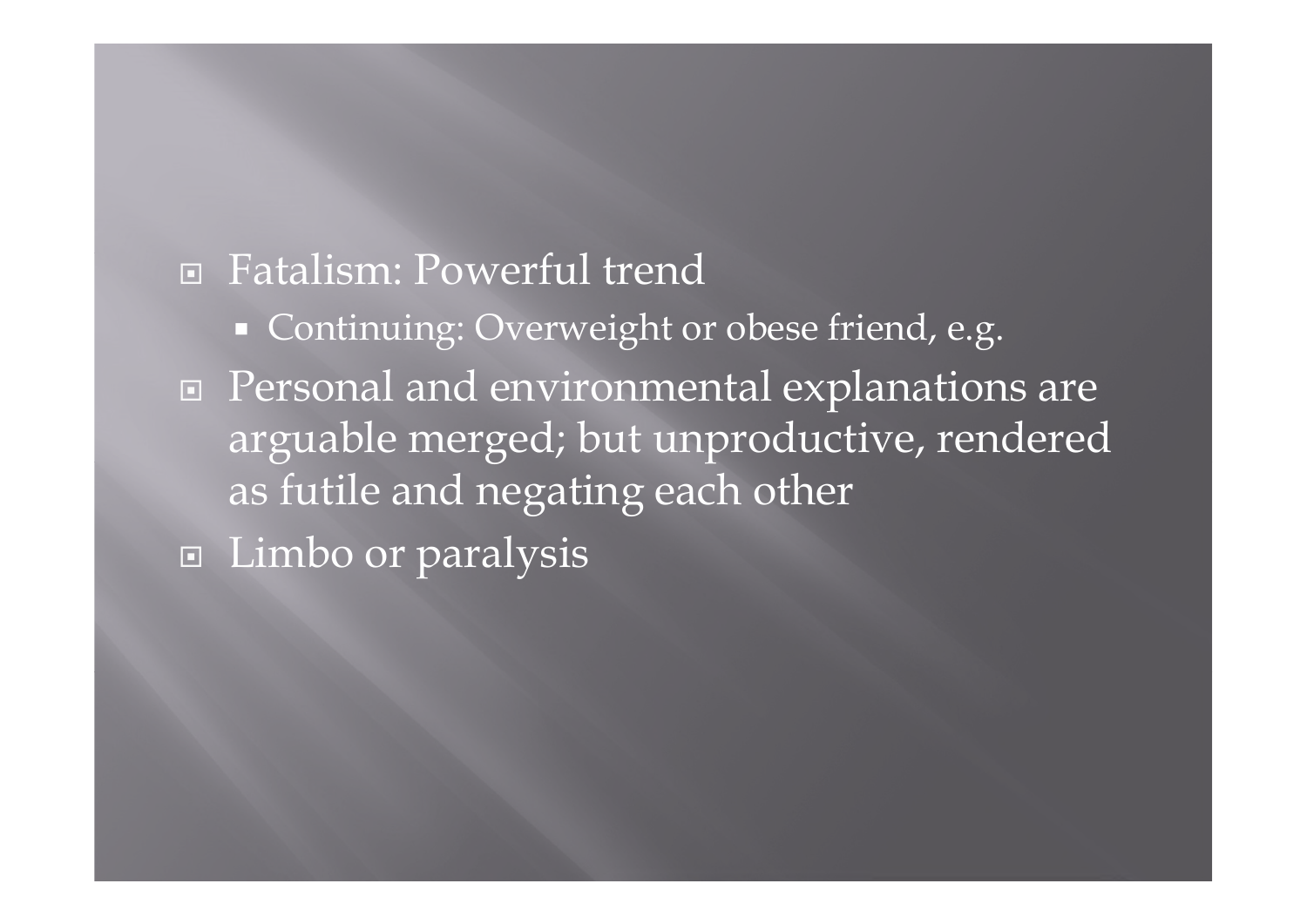## Fatalism: Powerful trend

- Continuing: Overweight or obese friend, e.g.
- □ Personal and environmental explanations are arguable merged; but unproductive, rendered as futile and negating each other
- Limbo or paralysis